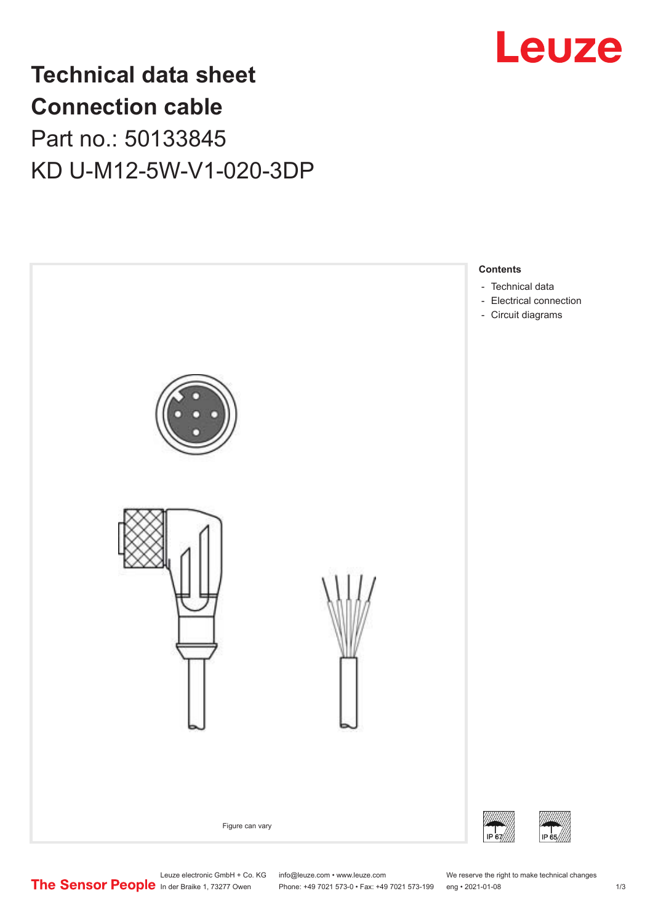

# **Technical data sheet Connection cable** Part no.: 50133845 KD U-M12-5W-V1-020-3DP



Leuze electronic GmbH + Co. KG info@leuze.com • www.leuze.com We reserve the right to make technical changes<br>
The Sensor People in der Braike 1, 73277 Owen Phone: +49 7021 573-0 • Fax: +49 7021 573-199 eng • 2021-01-08

Phone: +49 7021 573-0 • Fax: +49 7021 573-199 eng • 2021-01-08 1 2021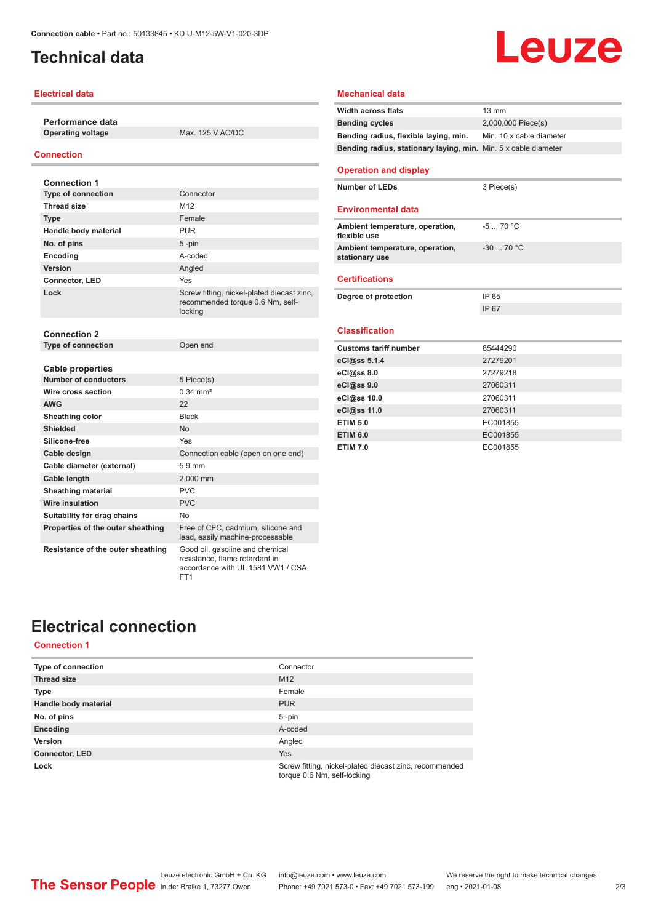# <span id="page-1-0"></span>**Technical data**

## **Electrical data**

**Performance data Operating voltage** Max. 125 V AC/DC

## **Connection**

| <b>Connection 1</b>                                    |                                                                                                        |
|--------------------------------------------------------|--------------------------------------------------------------------------------------------------------|
| <b>Type of connection</b>                              | Connector                                                                                              |
| <b>Thread size</b>                                     | M <sub>12</sub>                                                                                        |
| <b>Type</b>                                            | Female                                                                                                 |
| Handle body material                                   | <b>PUR</b>                                                                                             |
| No. of pins                                            | $5 - pin$                                                                                              |
| Encoding                                               | A-coded                                                                                                |
| Version                                                | Angled                                                                                                 |
| Connector, LED                                         | Yes                                                                                                    |
| Lock                                                   | Screw fitting, nickel-plated diecast zinc,<br>recommended torque 0.6 Nm, self-<br>locking              |
| <b>Connection 2</b>                                    |                                                                                                        |
| Type of connection                                     | Open end                                                                                               |
| <b>Cable properties</b><br><b>Number of conductors</b> | 5 Piece(s)                                                                                             |
| Wire cross section                                     | $0.34 \, \text{mm}^2$                                                                                  |
| <b>AWG</b>                                             | 22                                                                                                     |
| Sheathing color                                        | <b>Black</b>                                                                                           |
| <b>Shielded</b>                                        | <b>No</b>                                                                                              |
| Silicone-free                                          | Yes                                                                                                    |
| Cable design                                           | Connection cable (open on one end)                                                                     |
| Cable diameter (external)                              | $5.9$ mm                                                                                               |
| Cable length                                           | 2.000 mm                                                                                               |
| <b>Sheathing material</b>                              | PVC                                                                                                    |
| <b>Wire insulation</b>                                 | <b>PVC</b>                                                                                             |
| Suitability for drag chains                            | No                                                                                                     |
| Properties of the outer sheathing                      | Free of CFC, cadmium, silicone and<br>lead, easily machine-processable                                 |
| Resistance of the outer sheathing                      | Good oil, gasoline and chemical<br>resistance, flame retardant in<br>accordance with UL 1581 VW1 / CSA |

FT<sub>1</sub>

## **Width across flats** 13 mm **Bending cycles** 2,000,000 Piece(s) **Bending radius, flexible laying, min.** Min. 10 x cable diameter **Bending radius, stationary laying, min.** Min. 5 x cable diameter **Operation and display Number of LEDs** 3 Piece(s) **Environmental data Ambient temperature, operation, flexible use** -5 ... 70 °C **Ambient temperature, operation, stationary use** -30 ... 70 °C **Certifications Degree of protection** IP 65 IP 67 **Classification Customs tariff number** 85444290 **eCl@ss 5.1.4** 27279201

Leuze

**Mechanical data**

| 27279218 |
|----------|
| 27060311 |
| 27060311 |
| 27060311 |
| EC001855 |
| EC001855 |
| EC001855 |
|          |

# **Electrical connection**

## **Connection 1**

| <b>Type of connection</b> | Connector                                                                             |
|---------------------------|---------------------------------------------------------------------------------------|
| <b>Thread size</b>        | M <sub>12</sub>                                                                       |
| <b>Type</b>               | Female                                                                                |
| Handle body material      | <b>PUR</b>                                                                            |
| No. of pins               | $5$ -pin                                                                              |
| Encoding                  | A-coded                                                                               |
| Version                   | Angled                                                                                |
| <b>Connector, LED</b>     | <b>Yes</b>                                                                            |
| Lock                      | Screw fitting, nickel-plated diecast zinc, recommended<br>torque 0.6 Nm, self-locking |